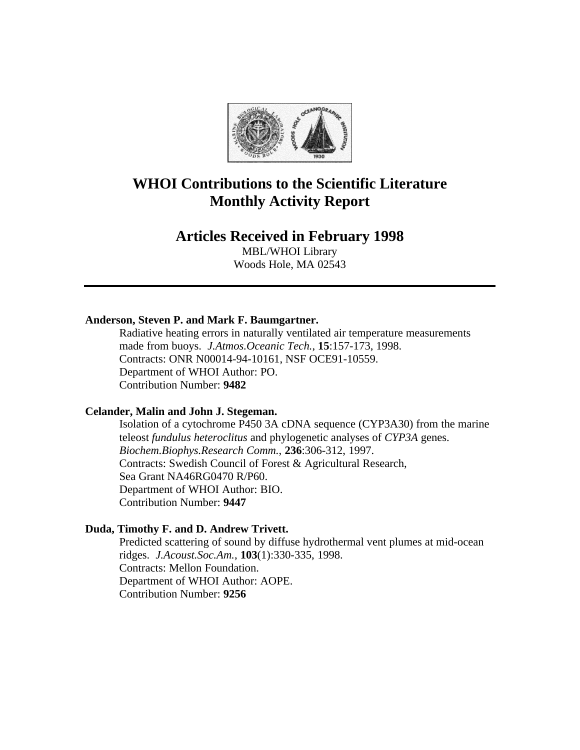

# **WHOI Contributions to the Scientific Literature Monthly Activity Report**

# **Articles Received in February 1998**

MBL/WHOI Library Woods Hole, MA 02543

# **Anderson, Steven P. and Mark F. Baumgartner.**

Radiative heating errors in naturally ventilated air temperature measurements made from buoys. *J.Atmos.Oceanic Tech.*, **15**:157-173, 1998. Contracts: ONR N00014-94-10161, NSF OCE91-10559. Department of WHOI Author: PO. Contribution Number: **9482**

# **Celander, Malin and John J. Stegeman.**

Isolation of a cytochrome P450 3A cDNA sequence (CYP3A30) from the marine teleost *fundulus heteroclitus* and phylogenetic analyses of *CYP3A* genes. *Biochem.Biophys.Research Comm.*, **236**:306-312, 1997. Contracts: Swedish Council of Forest & Agricultural Research, Sea Grant NA46RG0470 R/P60. Department of WHOI Author: BIO. Contribution Number: **9447**

# **Duda, Timothy F. and D. Andrew Trivett.**

Predicted scattering of sound by diffuse hydrothermal vent plumes at mid-ocean ridges. *J.Acoust.Soc.Am.*, **103**(1):330-335, 1998. Contracts: Mellon Foundation. Department of WHOI Author: AOPE. Contribution Number: **9256**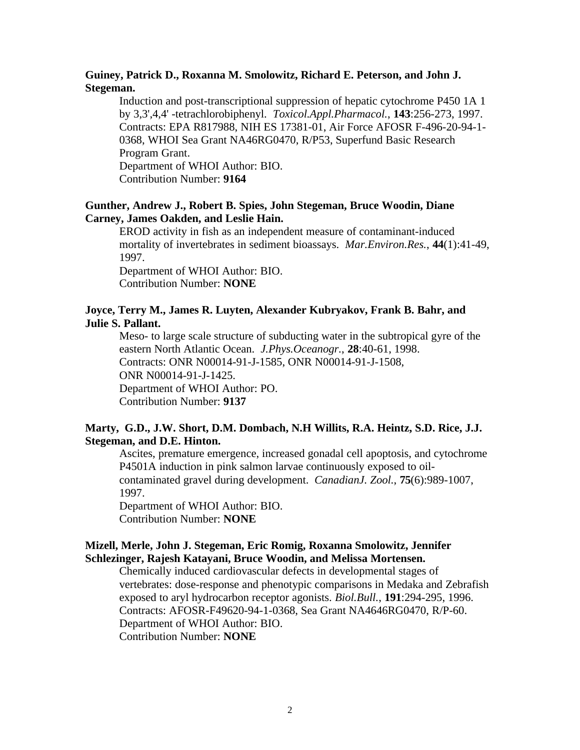# **Guiney, Patrick D., Roxanna M. Smolowitz, Richard E. Peterson, and John J. Stegeman.**

Induction and post-transcriptional suppression of hepatic cytochrome P450 1A 1 by 3,3',4,4' -tetrachlorobiphenyl. *Toxicol.Appl.Pharmacol.*, **143**:256-273, 1997. Contracts: EPA R817988, NIH ES 17381-01, Air Force AFOSR F-496-20-94-1- 0368, WHOI Sea Grant NA46RG0470, R/P53, Superfund Basic Research Program Grant.

Department of WHOI Author: BIO. Contribution Number: **9164**

# **Gunther, Andrew J., Robert B. Spies, John Stegeman, Bruce Woodin, Diane Carney, James Oakden, and Leslie Hain.**

EROD activity in fish as an independent measure of contaminant-induced mortality of invertebrates in sediment bioassays. *Mar.Environ.Res.*, **44**(1):41-49, 1997.

Department of WHOI Author: BIO. Contribution Number: **NONE**

# **Joyce, Terry M., James R. Luyten, Alexander Kubryakov, Frank B. Bahr, and Julie S. Pallant.**

Meso- to large scale structure of subducting water in the subtropical gyre of the eastern North Atlantic Ocean. *J.Phys.Oceanogr.*, **28**:40-61, 1998. Contracts: ONR N00014-91-J-1585, ONR N00014-91-J-1508, ONR N00014-91-J-1425. Department of WHOI Author: PO. Contribution Number: **9137**

# **Marty, G.D., J.W. Short, D.M. Dombach, N.H Willits, R.A. Heintz, S.D. Rice, J.J. Stegeman, and D.E. Hinton.**

Ascites, premature emergence, increased gonadal cell apoptosis, and cytochrome P4501A induction in pink salmon larvae continuously exposed to oilcontaminated gravel during development. *CanadianJ. Zool.*, **75**(6):989-1007, 1997.

Department of WHOI Author: BIO. Contribution Number: **NONE**

# **Mizell, Merle, John J. Stegeman, Eric Romig, Roxanna Smolowitz, Jennifer Schlezinger, Rajesh Katayani, Bruce Woodin, and Melissa Mortensen.**

Chemically induced cardiovascular defects in developmental stages of vertebrates: dose-response and phenotypic comparisons in Medaka and Zebrafish exposed to aryl hydrocarbon receptor agonists. *Biol.Bull.*, **191**:294-295, 1996. Contracts: AFOSR-F49620-94-1-0368, Sea Grant NA4646RG0470, R/P-60. Department of WHOI Author: BIO. Contribution Number: **NONE**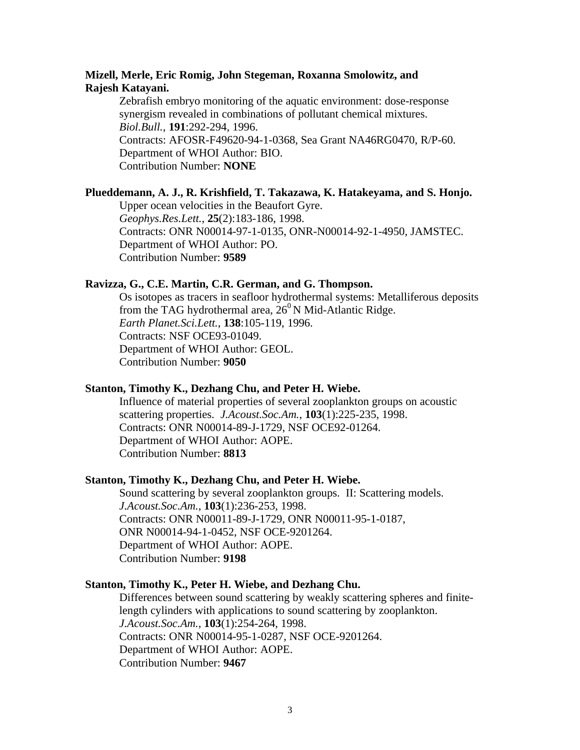# **Mizell, Merle, Eric Romig, John Stegeman, Roxanna Smolowitz, and Rajesh Katayani.**

Zebrafish embryo monitoring of the aquatic environment: dose-response synergism revealed in combinations of pollutant chemical mixtures. *Biol.Bull.*, **191**:292-294, 1996. Contracts: AFOSR-F49620-94-1-0368, Sea Grant NA46RG0470, R/P-60. Department of WHOI Author: BIO. Contribution Number: **NONE**

#### **Plueddemann, A. J., R. Krishfield, T. Takazawa, K. Hatakeyama, and S. Honjo.**

Upper ocean velocities in the Beaufort Gyre. *Geophys.Res.Lett.*, **25**(2):183-186, 1998. Contracts: ONR N00014-97-1-0135, ONR-N00014-92-1-4950, JAMSTEC. Department of WHOI Author: PO. Contribution Number: **9589**

#### **Ravizza, G., C.E. Martin, C.R. German, and G. Thompson.**

Os isotopes as tracers in seafloor hydrothermal systems: Metalliferous deposits from the TAG hydrothermal area,  $26^{\circ}$  N Mid-Atlantic Ridge. *Earth Planet.Sci.Lett.*, **138**:105-119, 1996. Contracts: NSF OCE93-01049. Department of WHOI Author: GEOL. Contribution Number: **9050**

#### **Stanton, Timothy K., Dezhang Chu, and Peter H. Wiebe.**

Influence of material properties of several zooplankton groups on acoustic scattering properties. *J.Acoust.Soc.Am.*, **103**(1):225-235, 1998. Contracts: ONR N00014-89-J-1729, NSF OCE92-01264. Department of WHOI Author: AOPE. Contribution Number: **8813**

# **Stanton, Timothy K., Dezhang Chu, and Peter H. Wiebe.**

Sound scattering by several zooplankton groups. II: Scattering models. *J.Acoust.Soc.Am.*, **103**(1):236-253, 1998. Contracts: ONR N00011-89-J-1729, ONR N00011-95-1-0187, ONR N00014-94-1-0452, NSF OCE-9201264. Department of WHOI Author: AOPE. Contribution Number: **9198**

#### **Stanton, Timothy K., Peter H. Wiebe, and Dezhang Chu.**

Differences between sound scattering by weakly scattering spheres and finitelength cylinders with applications to sound scattering by zooplankton. *J.Acoust.Soc.Am.*, **103**(1):254-264, 1998. Contracts: ONR N00014-95-1-0287, NSF OCE-9201264. Department of WHOI Author: AOPE. Contribution Number: **9467**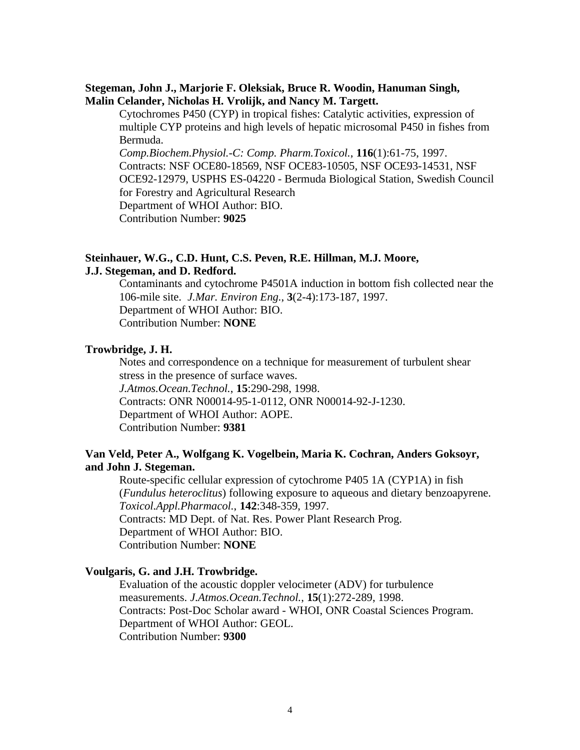# **Stegeman, John J., Marjorie F. Oleksiak, Bruce R. Woodin, Hanuman Singh, Malin Celander, Nicholas H. Vrolijk, and Nancy M. Targett.**

Cytochromes P450 (CYP) in tropical fishes: Catalytic activities, expression of multiple CYP proteins and high levels of hepatic microsomal P450 in fishes from Bermuda.

*Comp.Biochem.Physiol.-C: Comp. Pharm.Toxicol.*, **116**(1):61-75, 1997. Contracts: NSF OCE80-18569, NSF OCE83-10505, NSF OCE93-14531, NSF OCE92-12979, USPHS ES-04220 - Bermuda Biological Station, Swedish Council for Forestry and Agricultural Research Department of WHOI Author: BIO.

Contribution Number: **9025**

# **Steinhauer, W.G., C.D. Hunt, C.S. Peven, R.E. Hillman, M.J. Moore,**

# **J.J. Stegeman, and D. Redford.**

Contaminants and cytochrome P4501A induction in bottom fish collected near the 106-mile site. *J.Mar. Environ Eng.*, **3**(2-4):173-187, 1997. Department of WHOI Author: BIO. Contribution Number: **NONE**

# **Trowbridge, J. H.**

Notes and correspondence on a technique for measurement of turbulent shear stress in the presence of surface waves. *J.Atmos.Ocean.Technol.*, **15**:290-298, 1998. Contracts: ONR N00014-95-1-0112, ONR N00014-92-J-1230. Department of WHOI Author: AOPE. Contribution Number: **9381**

# **Van Veld, Peter A., Wolfgang K. Vogelbein, Maria K. Cochran, Anders Goksoyr, and John J. Stegeman.**

Route-specific cellular expression of cytochrome P405 1A (CYP1A) in fish (*Fundulus heteroclitus*) following exposure to aqueous and dietary benzoapyrene. *Toxicol.Appl.Pharmacol.*, **142**:348-359, 1997. Contracts: MD Dept. of Nat. Res. Power Plant Research Prog. Department of WHOI Author: BIO. Contribution Number: **NONE**

# **Voulgaris, G. and J.H. Trowbridge.**

Evaluation of the acoustic doppler velocimeter (ADV) for turbulence measurements. *J.Atmos.Ocean.Technol.*, **15**(1):272-289, 1998. Contracts: Post-Doc Scholar award - WHOI, ONR Coastal Sciences Program. Department of WHOI Author: GEOL. Contribution Number: **9300**